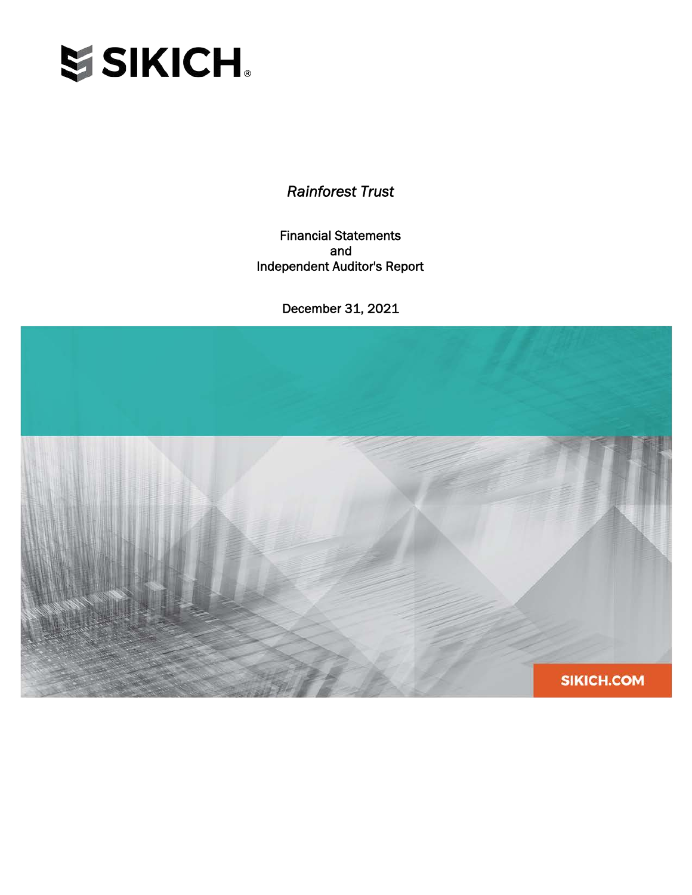

Financial Statements and Independent Auditor's Report

December 31, 2021

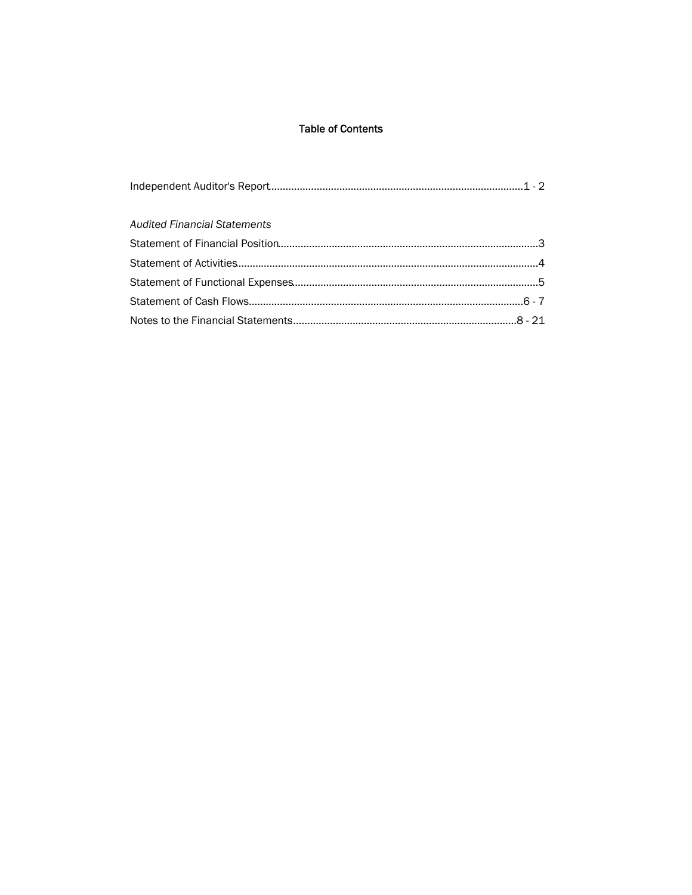### **Table of Contents**

| <b>Audited Financial Statements</b> |  |
|-------------------------------------|--|
|                                     |  |
|                                     |  |
|                                     |  |
|                                     |  |
|                                     |  |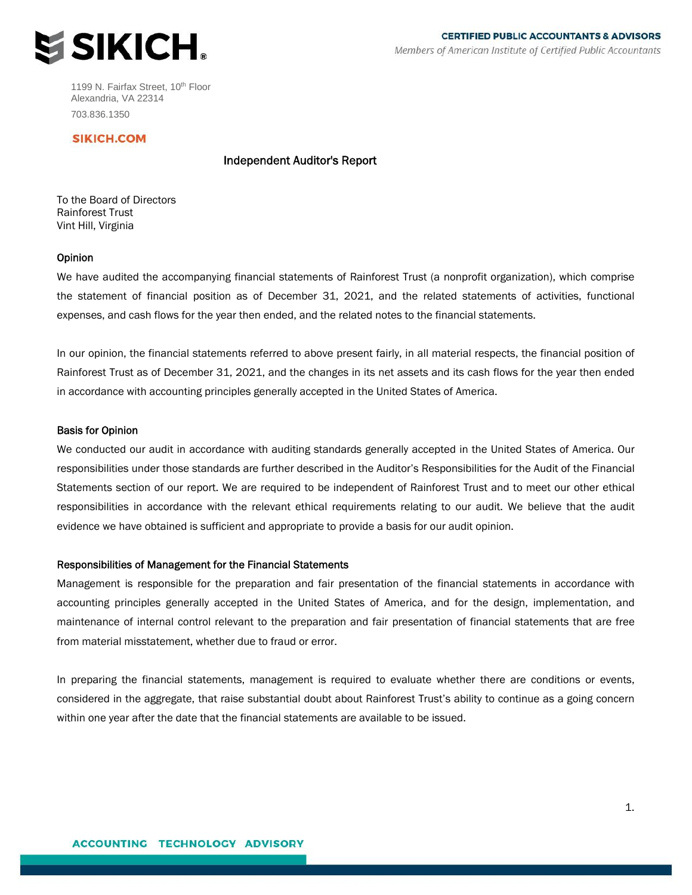

1199 N. Fairfax Street, 10<sup>th</sup> Floor Alexandria, VA 22314 703.836.1350

#### **SIKICH.COM**

#### Independent Auditor's Report

To the Board of Directors Rainforest Trust Vint Hill, Virginia

#### **Opinion**

We have audited the accompanying financial statements of Rainforest Trust (a nonprofit organization), which comprise the statement of financial position as of December 31, 2021, and the related statements of activities, functional expenses, and cash flows for the year then ended, and the related notes to the financial statements.

In our opinion, the financial statements referred to above present fairly, in all material respects, the financial position of Rainforest Trust as of December 31, 2021, and the changes in its net assets and its cash flows for the year then ended in accordance with accounting principles generally accepted in the United States of America.

#### Basis for Opinion

We conducted our audit in accordance with auditing standards generally accepted in the United States of America. Our responsibilities under those standards are further described in the Auditor's Responsibilities for the Audit of the Financial Statements section of our report. We are required to be independent of Rainforest Trust and to meet our other ethical responsibilities in accordance with the relevant ethical requirements relating to our audit. We believe that the audit evidence we have obtained is sufficient and appropriate to provide a basis for our audit opinion.

#### Responsibilities of Management for the Financial Statements

Management is responsible for the preparation and fair presentation of the financial statements in accordance with accounting principles generally accepted in the United States of America, and for the design, implementation, and maintenance of internal control relevant to the preparation and fair presentation of financial statements that are free from material misstatement, whether due to fraud or error.

In preparing the financial statements, management is required to evaluate whether there are conditions or events, considered in the aggregate, that raise substantial doubt about Rainforest Trust's ability to continue as a going concern within one year after the date that the financial statements are available to be issued.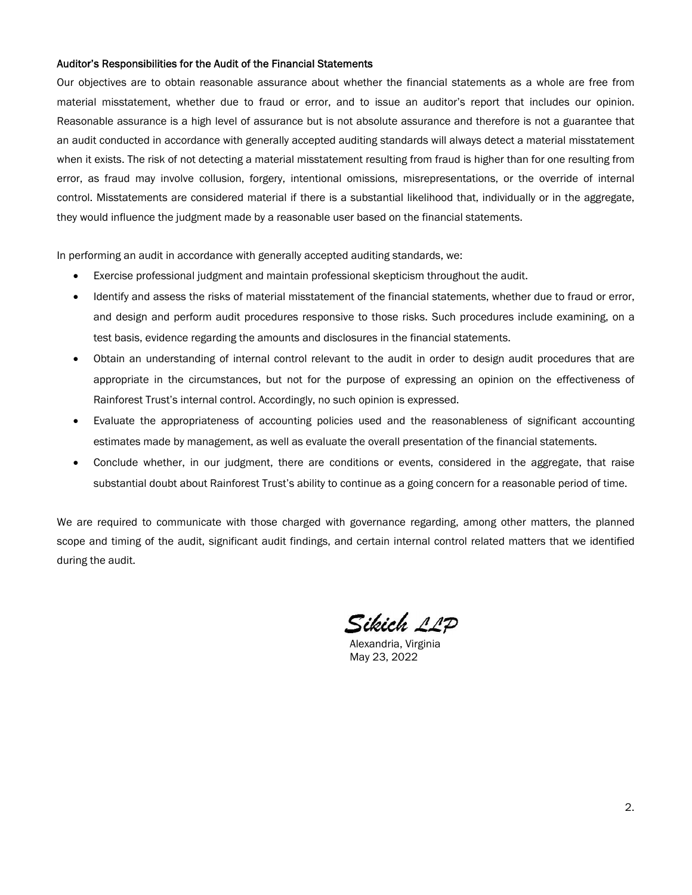#### Auditor's Responsibilities for the Audit of the Financial Statements

Our objectives are to obtain reasonable assurance about whether the financial statements as a whole are free from material misstatement, whether due to fraud or error, and to issue an auditor's report that includes our opinion. Reasonable assurance is a high level of assurance but is not absolute assurance and therefore is not a guarantee that an audit conducted in accordance with generally accepted auditing standards will always detect a material misstatement when it exists. The risk of not detecting a material misstatement resulting from fraud is higher than for one resulting from error, as fraud may involve collusion, forgery, intentional omissions, misrepresentations, or the override of internal control. Misstatements are considered material if there is a substantial likelihood that, individually or in the aggregate, they would influence the judgment made by a reasonable user based on the financial statements.

In performing an audit in accordance with generally accepted auditing standards, we:

- Exercise professional judgment and maintain professional skepticism throughout the audit.
- Identify and assess the risks of material misstatement of the financial statements, whether due to fraud or error, and design and perform audit procedures responsive to those risks. Such procedures include examining, on a test basis, evidence regarding the amounts and disclosures in the financial statements.
- Obtain an understanding of internal control relevant to the audit in order to design audit procedures that are appropriate in the circumstances, but not for the purpose of expressing an opinion on the effectiveness of Rainforest Trust's internal control. Accordingly, no such opinion is expressed.
- Evaluate the appropriateness of accounting policies used and the reasonableness of significant accounting estimates made by management, as well as evaluate the overall presentation of the financial statements.
- Conclude whether, in our judgment, there are conditions or events, considered in the aggregate, that raise substantial doubt about Rainforest Trust's ability to continue as a going concern for a reasonable period of time.

We are required to communicate with those charged with governance regarding, among other matters, the planned scope and timing of the audit, significant audit findings, and certain internal control related matters that we identified during the audit.

Sikich 11D

Alexandria, Virginia May 23, 2022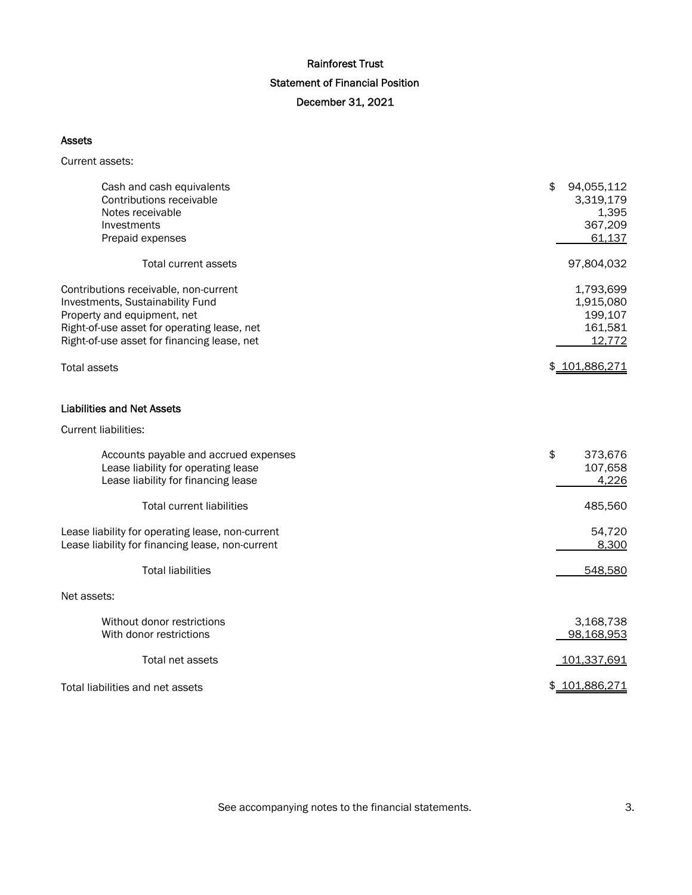# Rainforest Trust Statement of Financial Position December 31, 2021

#### Assets

Current assets:

| Cash and cash equivalents<br>Contributions receivable<br>Notes receivable<br>Investments<br>Prepaid expenses                                                                                           | \$<br>94,055,112<br>3,319,179<br>1,395<br>367,209<br>61,137 |
|--------------------------------------------------------------------------------------------------------------------------------------------------------------------------------------------------------|-------------------------------------------------------------|
| Total current assets                                                                                                                                                                                   | 97,804,032                                                  |
| Contributions receivable, non-current<br>Investments, Sustainability Fund<br>Property and equipment, net<br>Right-of-use asset for operating lease, net<br>Right-of-use asset for financing lease, net | 1,793,699<br>1,915,080<br>199,107<br>161,581<br>12,772      |
| <b>Total assets</b>                                                                                                                                                                                    | \$101,886,271                                               |
| <b>Liabilities and Net Assets</b>                                                                                                                                                                      |                                                             |
| <b>Current liabilities:</b>                                                                                                                                                                            |                                                             |
| Accounts payable and accrued expenses<br>Lease liability for operating lease<br>Lease liability for financing lease                                                                                    | \$<br>373,676<br>107,658<br>4,226                           |
| <b>Total current liabilities</b>                                                                                                                                                                       | 485,560                                                     |
| Lease liability for operating lease, non-current<br>Lease liability for financing lease, non-current                                                                                                   | 54,720<br>8,300                                             |
| <b>Total liabilities</b>                                                                                                                                                                               | 548,580                                                     |
| Net assets:                                                                                                                                                                                            |                                                             |
| Without donor restrictions<br>With donor restrictions                                                                                                                                                  | 3,168,738<br>98,168,953                                     |
| Total net assets                                                                                                                                                                                       | 101,337,691                                                 |
| Total liabilities and net assets                                                                                                                                                                       | \$101,886,271                                               |

See accompanying notes to the financial statements. See accompanying notes to the financial statements.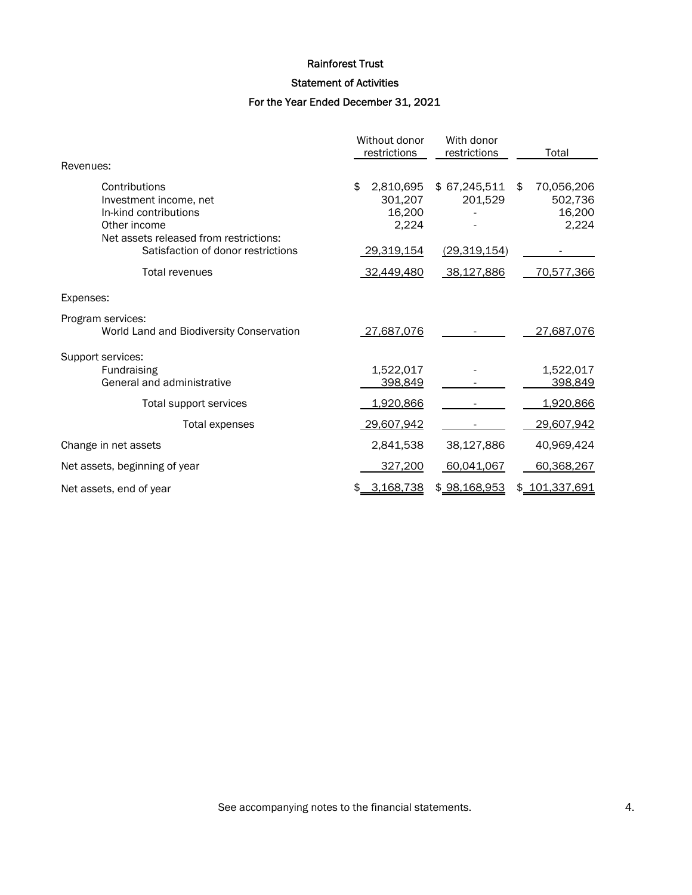## Statement of Activities

## For the Year Ended December 31, 2021

|                                                                                                                            | Without donor<br>restrictions                 | With donor<br>restrictions | Total                                          |
|----------------------------------------------------------------------------------------------------------------------------|-----------------------------------------------|----------------------------|------------------------------------------------|
| Revenues:                                                                                                                  |                                               |                            |                                                |
| Contributions<br>Investment income, net<br>In-kind contributions<br>Other income<br>Net assets released from restrictions: | \$<br>2,810,695<br>301,207<br>16,200<br>2,224 | \$67,245,511<br>201,529    | 70,056,206<br>\$<br>502,736<br>16,200<br>2,224 |
| Satisfaction of donor restrictions                                                                                         | 29,319,154                                    | (29, 319, 154)             |                                                |
| Total revenues                                                                                                             | 32,449,480                                    | 38,127,886                 | 70,577,366                                     |
| Expenses:                                                                                                                  |                                               |                            |                                                |
| Program services:<br>World Land and Biodiversity Conservation                                                              | 27,687,076                                    |                            | 27,687,076                                     |
| Support services:                                                                                                          |                                               |                            |                                                |
| Fundraising<br>General and administrative                                                                                  | 1,522,017<br>398,849                          |                            | 1,522,017<br>398,849                           |
| Total support services                                                                                                     | 1,920,866                                     |                            | 1,920,866                                      |
| Total expenses                                                                                                             | 29,607,942                                    |                            | 29,607,942                                     |
| Change in net assets                                                                                                       | 2,841,538                                     | 38,127,886                 | 40,969,424                                     |
| Net assets, beginning of year                                                                                              | 327,200                                       | 60,041,067                 | 60,368,267                                     |
| Net assets, end of year                                                                                                    | 3,168,738                                     | \$98,168,953               | \$101,337,691                                  |

See accompanying notes to the financial statements. 4.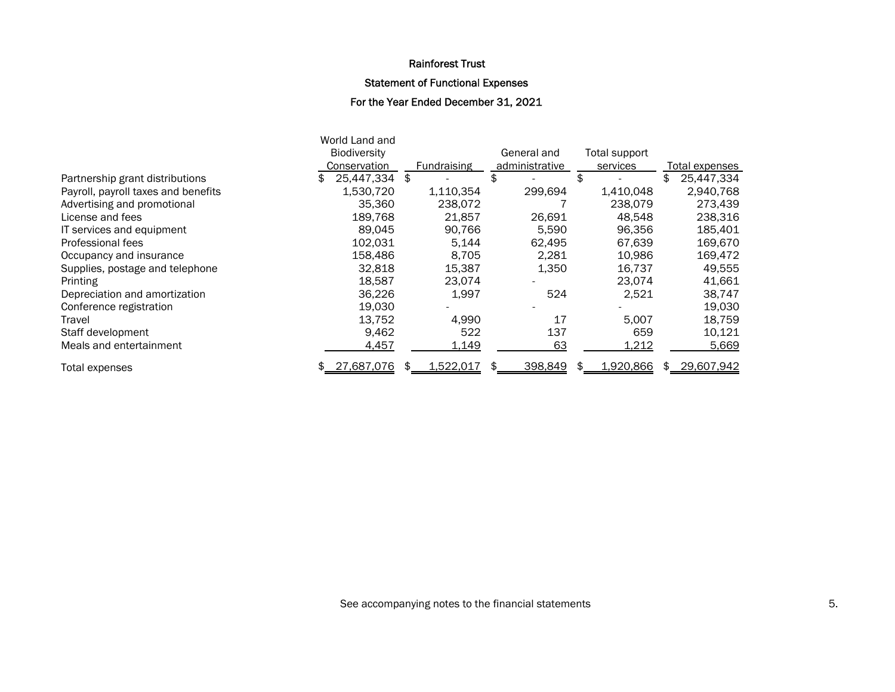## Statement of Functional Expenses

## For the Year Ended December 31, 2021

|                                     | World Land and<br><b>Biodiversity</b><br>Conservation | Fundraising    | General and<br>administrative | Total support<br>services | Total expenses    |
|-------------------------------------|-------------------------------------------------------|----------------|-------------------------------|---------------------------|-------------------|
| Partnership grant distributions     | 25,447,334                                            | \$             | S                             | \$                        | 25,447,334<br>\$  |
| Payroll, payroll taxes and benefits | 1,530,720                                             | 1,110,354      | 299.694                       | 1,410,048                 | 2,940,768         |
| Advertising and promotional         | 35,360                                                | 238.072        |                               | 238,079                   | 273,439           |
| License and fees                    | 189,768                                               | 21,857         | 26,691                        | 48,548                    | 238,316           |
| IT services and equipment           | 89.045                                                | 90.766         | 5.590                         | 96.356                    | 185,401           |
| Professional fees                   | 102,031                                               | 5,144          | 62,495                        | 67,639                    | 169,670           |
| Occupancy and insurance             | 158,486                                               | 8,705          | 2,281                         | 10,986                    | 169,472           |
| Supplies, postage and telephone     | 32,818                                                | 15,387         | 1,350                         | 16,737                    | 49,555            |
| Printing                            | 18,587                                                | 23.074         |                               | 23,074                    | 41,661            |
| Depreciation and amortization       | 36,226                                                | 1.997          | 524                           | 2,521                     | 38,747            |
| Conference registration             | 19,030                                                |                |                               |                           | 19,030            |
| Travel                              | 13,752                                                | 4,990          | 17                            | 5,007                     | 18,759            |
| Staff development                   | 9,462                                                 | 522            | 137                           | 659                       | 10,121            |
| Meals and entertainment             | 4,457                                                 | 1,149          | 63                            | 1,212                     | 5,669             |
| Total expenses                      | 27.687.076                                            | 1,522,017<br>S | 398,849                       | 1.920.866<br>\$.          | 29,607,942<br>\$. |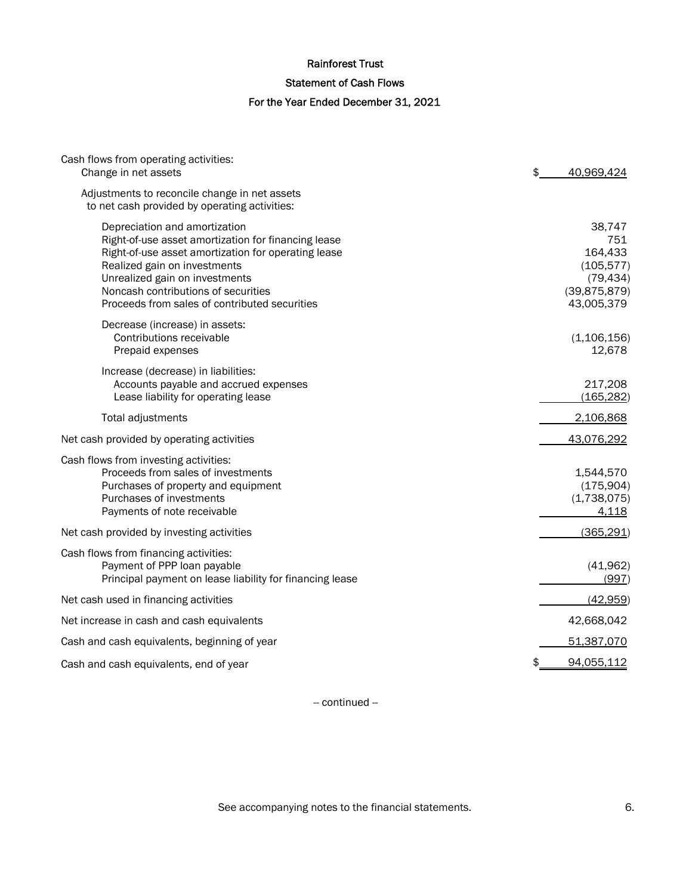## Statement of Cash Flows

## For the Year Ended December 31, 2021

| Cash flows from operating activities:<br>Change in net assets                                                                                                                                                                                                                                         | \$<br>40.969,424                                                                    |
|-------------------------------------------------------------------------------------------------------------------------------------------------------------------------------------------------------------------------------------------------------------------------------------------------------|-------------------------------------------------------------------------------------|
| Adjustments to reconcile change in net assets<br>to net cash provided by operating activities:                                                                                                                                                                                                        |                                                                                     |
| Depreciation and amortization<br>Right-of-use asset amortization for financing lease<br>Right-of-use asset amortization for operating lease<br>Realized gain on investments<br>Unrealized gain on investments<br>Noncash contributions of securities<br>Proceeds from sales of contributed securities | 38,747<br>751<br>164,433<br>(105, 577)<br>(79, 434)<br>(39, 875, 879)<br>43,005,379 |
| Decrease (increase) in assets:<br>Contributions receivable<br>Prepaid expenses                                                                                                                                                                                                                        | (1, 106, 156)<br>12,678                                                             |
| Increase (decrease) in liabilities:<br>Accounts payable and accrued expenses<br>Lease liability for operating lease                                                                                                                                                                                   | 217,208<br>(165, 282)                                                               |
| Total adjustments                                                                                                                                                                                                                                                                                     | 2,106,868                                                                           |
| Net cash provided by operating activities                                                                                                                                                                                                                                                             | 43,076,292                                                                          |
| Cash flows from investing activities:<br>Proceeds from sales of investments<br>Purchases of property and equipment<br>Purchases of investments<br>Payments of note receivable                                                                                                                         | 1,544,570<br>(175, 904)<br>(1,738,075)<br>4,118                                     |
| Net cash provided by investing activities                                                                                                                                                                                                                                                             | (365, 291)                                                                          |
| Cash flows from financing activities:<br>Payment of PPP loan payable<br>Principal payment on lease liability for financing lease                                                                                                                                                                      | (41, 962)<br>(997)                                                                  |
| Net cash used in financing activities                                                                                                                                                                                                                                                                 | (42, 959)                                                                           |
| Net increase in cash and cash equivalents                                                                                                                                                                                                                                                             | 42,668,042                                                                          |
| Cash and cash equivalents, beginning of year                                                                                                                                                                                                                                                          | 51,387,070                                                                          |
| Cash and cash equivalents, end of year                                                                                                                                                                                                                                                                | 94,055,112<br>\$                                                                    |

-- continued --

See accompanying notes to the financial statements.  $\qquad 6.$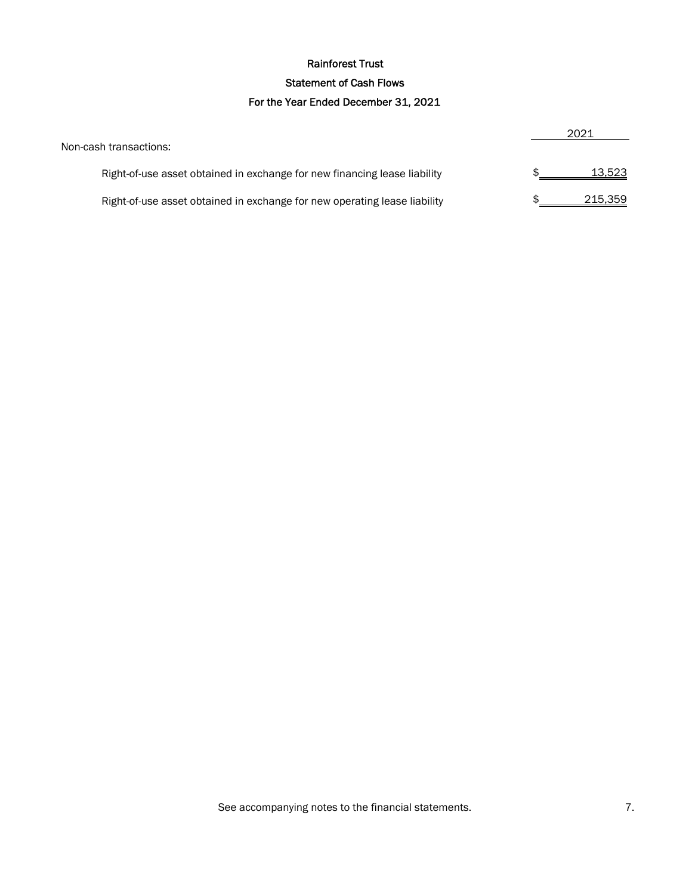# Rainforest Trust Statement of Cash Flows For the Year Ended December 31, 2021

|                                                                           | 2021    |
|---------------------------------------------------------------------------|---------|
| Non-cash transactions:                                                    |         |
| Right-of-use asset obtained in exchange for new financing lease liability | 13,523  |
| Right-of-use asset obtained in exchange for new operating lease liability | 215,359 |

See accompanying notes to the financial statements. The second parameters of  $7.$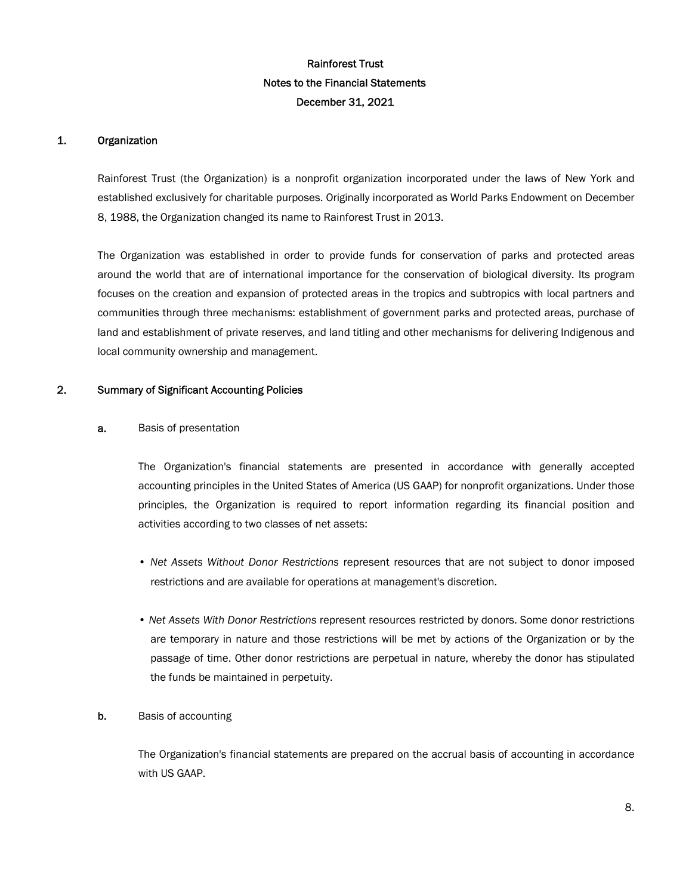#### 1. Organization

Rainforest Trust (the Organization) is a nonprofit organization incorporated under the laws of New York and established exclusively for charitable purposes. Originally incorporated as World Parks Endowment on December 8, 1988, the Organization changed its name to Rainforest Trust in 2013.

The Organization was established in order to provide funds for conservation of parks and protected areas around the world that are of international importance for the conservation of biological diversity. Its program focuses on the creation and expansion of protected areas in the tropics and subtropics with local partners and communities through three mechanisms: establishment of government parks and protected areas, purchase of land and establishment of private reserves, and land titling and other mechanisms for delivering Indigenous and local community ownership and management.

#### 2. Summary of Significant Accounting Policies

a. Basis of presentation

The Organization's financial statements are presented in accordance with generally accepted accounting principles in the United States of America (US GAAP) for nonprofit organizations. Under those principles, the Organization is required to report information regarding its financial position and activities according to two classes of net assets:

- *Net Assets Without Donor Restrictions* represent resources that are not subject to donor imposed restrictions and are available for operations at management's discretion.
- *Net Assets With Donor Restrictions* represent resources restricted by donors. Some donor restrictions are temporary in nature and those restrictions will be met by actions of the Organization or by the passage of time. Other donor restrictions are perpetual in nature, whereby the donor has stipulated the funds be maintained in perpetuity.
- **b.** Basis of accounting

The Organization's financial statements are prepared on the accrual basis of accounting in accordance with US GAAP.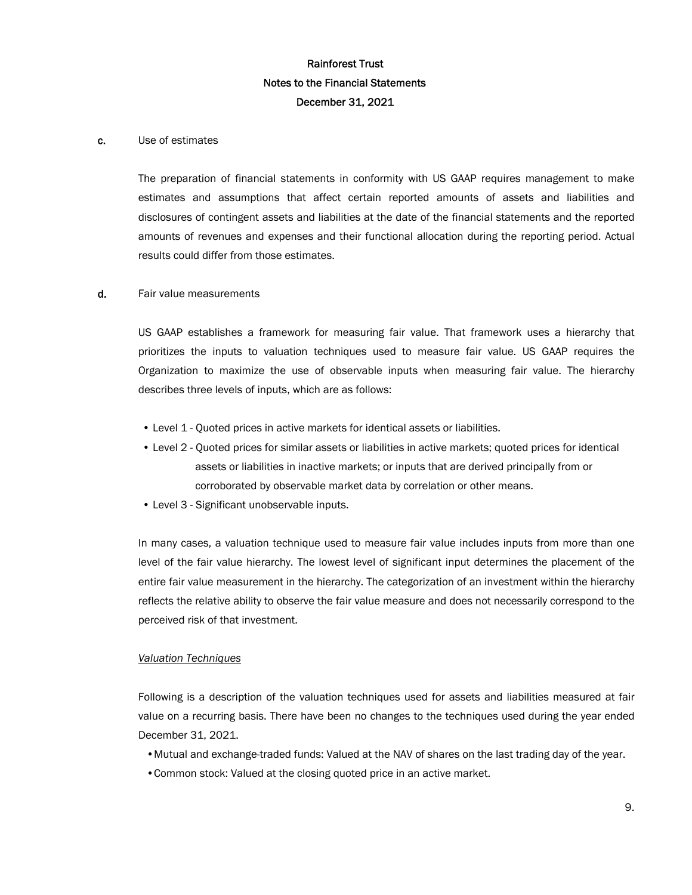#### c. Use of estimates

The preparation of financial statements in conformity with US GAAP requires management to make estimates and assumptions that affect certain reported amounts of assets and liabilities and disclosures of contingent assets and liabilities at the date of the financial statements and the reported amounts of revenues and expenses and their functional allocation during the reporting period. Actual results could differ from those estimates.

#### d. Fair value measurements

US GAAP establishes a framework for measuring fair value. That framework uses a hierarchy that prioritizes the inputs to valuation techniques used to measure fair value. US GAAP requires the Organization to maximize the use of observable inputs when measuring fair value. The hierarchy describes three levels of inputs, which are as follows:

- Level 1 Quoted prices in active markets for identical assets or liabilities.
- Level 2 Quoted prices for similar assets or liabilities in active markets; quoted prices for identical assets or liabilities in inactive markets; or inputs that are derived principally from or corroborated by observable market data by correlation or other means.
- Level 3 Significant unobservable inputs.

In many cases, a valuation technique used to measure fair value includes inputs from more than one level of the fair value hierarchy. The lowest level of significant input determines the placement of the entire fair value measurement in the hierarchy. The categorization of an investment within the hierarchy reflects the relative ability to observe the fair value measure and does not necessarily correspond to the perceived risk of that investment.

#### *Valuation Techniques*

Following is a description of the valuation techniques used for assets and liabilities measured at fair value on a recurring basis. There have been no changes to the techniques used during the year ended December 31, 2021.

- •Mutual and exchange-traded funds: Valued at the NAV of shares on the last trading day of the year.
- •Common stock: Valued at the closing quoted price in an active market.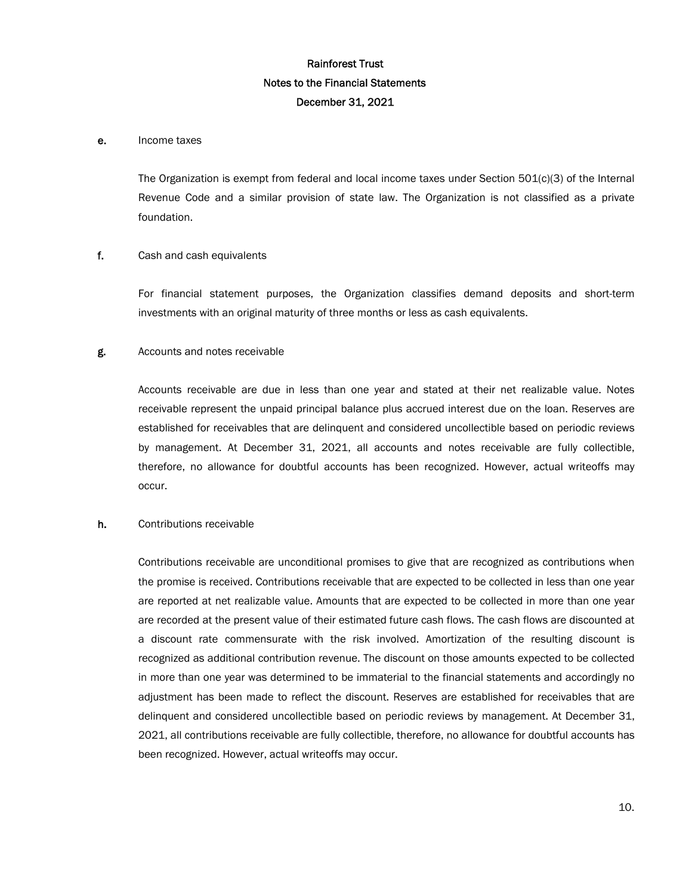#### e. Income taxes

The Organization is exempt from federal and local income taxes under Section 501(c)(3) of the Internal Revenue Code and a similar provision of state law. The Organization is not classified as a private foundation.

#### f. Cash and cash equivalents

For financial statement purposes, the Organization classifies demand deposits and short-term investments with an original maturity of three months or less as cash equivalents.

#### g. Accounts and notes receivable

Accounts receivable are due in less than one year and stated at their net realizable value. Notes receivable represent the unpaid principal balance plus accrued interest due on the loan. Reserves are established for receivables that are delinquent and considered uncollectible based on periodic reviews by management. At December 31, 2021, all accounts and notes receivable are fully collectible, therefore, no allowance for doubtful accounts has been recognized. However, actual writeoffs may occur.

#### h. Contributions receivable

Contributions receivable are unconditional promises to give that are recognized as contributions when the promise is received. Contributions receivable that are expected to be collected in less than one year are reported at net realizable value. Amounts that are expected to be collected in more than one year are recorded at the present value of their estimated future cash flows. The cash flows are discounted at a discount rate commensurate with the risk involved. Amortization of the resulting discount is recognized as additional contribution revenue. The discount on those amounts expected to be collected in more than one year was determined to be immaterial to the financial statements and accordingly no adjustment has been made to reflect the discount. Reserves are established for receivables that are delinquent and considered uncollectible based on periodic reviews by management. At December 31, 2021, all contributions receivable are fully collectible, therefore, no allowance for doubtful accounts has been recognized. However, actual writeoffs may occur.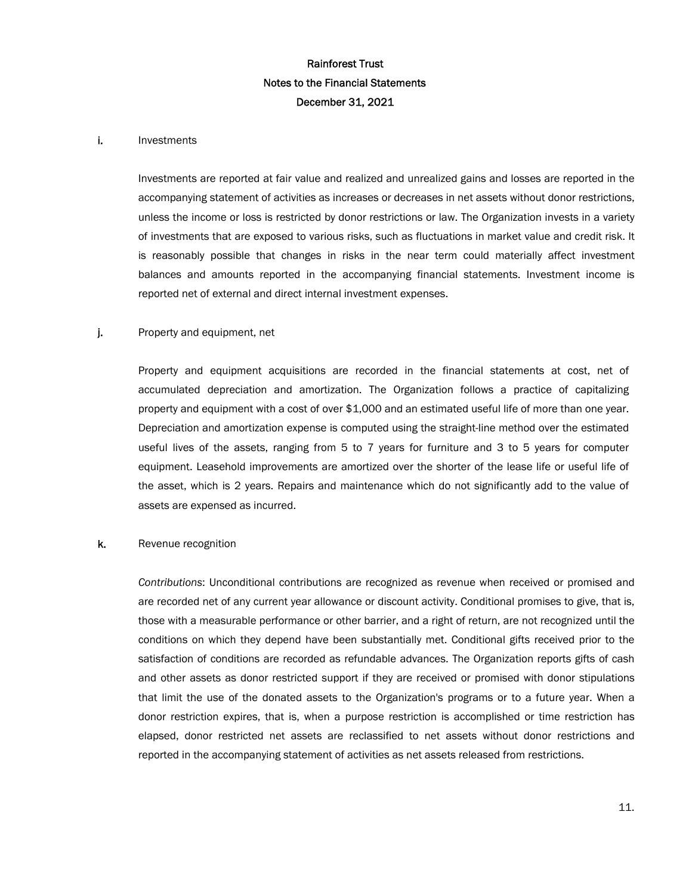#### i. Investments

Investments are reported at fair value and realized and unrealized gains and losses are reported in the accompanying statement of activities as increases or decreases in net assets without donor restrictions, unless the income or loss is restricted by donor restrictions or law. The Organization invests in a variety of investments that are exposed to various risks, such as fluctuations in market value and credit risk. It is reasonably possible that changes in risks in the near term could materially affect investment balances and amounts reported in the accompanying financial statements. Investment income is reported net of external and direct internal investment expenses.

#### j. Property and equipment, net

Property and equipment acquisitions are recorded in the financial statements at cost, net of accumulated depreciation and amortization. The Organization follows a practice of capitalizing property and equipment with a cost of over \$1,000 and an estimated useful life of more than one year. Depreciation and amortization expense is computed using the straight-line method over the estimated useful lives of the assets, ranging from 5 to 7 years for furniture and 3 to 5 years for computer equipment. Leasehold improvements are amortized over the shorter of the lease life or useful life of the asset, which is 2 years. Repairs and maintenance which do not significantly add to the value of assets are expensed as incurred.

#### k. Revenue recognition

*Contributions*: Unconditional contributions are recognized as revenue when received or promised and are recorded net of any current year allowance or discount activity. Conditional promises to give, that is, those with a measurable performance or other barrier, and a right of return, are not recognized until the conditions on which they depend have been substantially met. Conditional gifts received prior to the satisfaction of conditions are recorded as refundable advances. The Organization reports gifts of cash and other assets as donor restricted support if they are received or promised with donor stipulations that limit the use of the donated assets to the Organization's programs or to a future year. When a donor restriction expires, that is, when a purpose restriction is accomplished or time restriction has elapsed, donor restricted net assets are reclassified to net assets without donor restrictions and reported in the accompanying statement of activities as net assets released from restrictions.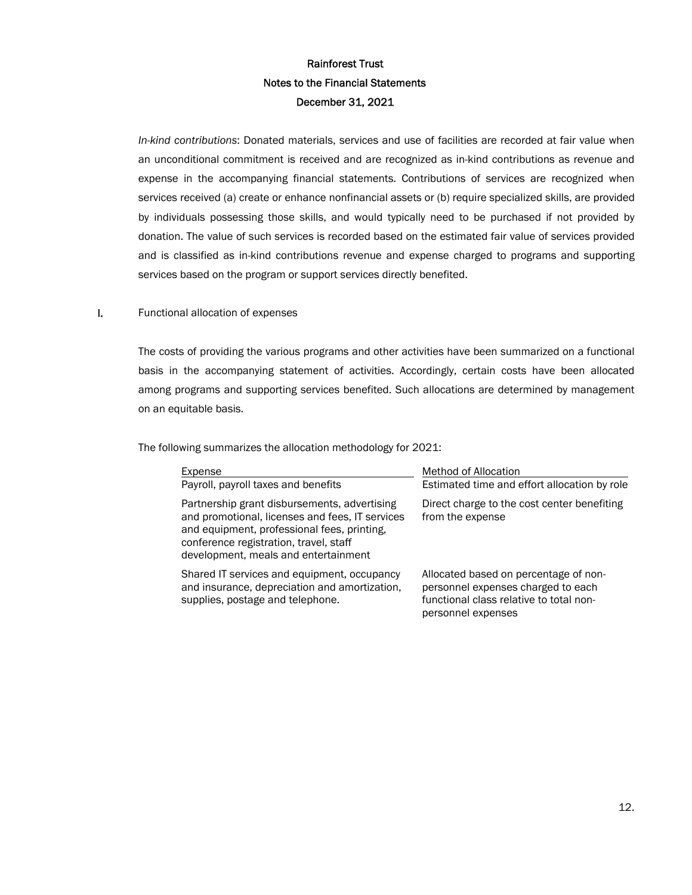*In-kind contributions*: Donated materials, services and use of facilities are recorded at fair value when an unconditional commitment is received and are recognized as in-kind contributions as revenue and expense in the accompanying financial statements. Contributions of services are recognized when services received (a) create or enhance nonfinancial assets or (b) require specialized skills, are provided by individuals possessing those skills, and would typically need to be purchased if not provided by donation. The value of such services is recorded based on the estimated fair value of services provided and is classified as in-kind contributions revenue and expense charged to programs and supporting services based on the program or support services directly benefited.

#### l. Functional allocation of expenses

The costs of providing the various programs and other activities have been summarized on a functional basis in the accompanying statement of activities. Accordingly, certain costs have been allocated among programs and supporting services benefited. Such allocations are determined by management on an equitable basis.

The following summarizes the allocation methodology for 2021:

| Expense<br>Payroll, payroll taxes and benefits                                                                                                                                                                                   | Method of Allocation<br>Estimated time and effort allocation by role                                                                         |
|----------------------------------------------------------------------------------------------------------------------------------------------------------------------------------------------------------------------------------|----------------------------------------------------------------------------------------------------------------------------------------------|
| Partnership grant disbursements, advertising<br>and promotional, licenses and fees, IT services<br>and equipment, professional fees, printing,<br>conference registration, travel, staff<br>development, meals and entertainment | Direct charge to the cost center benefiting<br>from the expense                                                                              |
| Shared IT services and equipment, occupancy<br>and insurance, depreciation and amortization,<br>supplies, postage and telephone.                                                                                                 | Allocated based on percentage of non-<br>personnel expenses charged to each<br>functional class relative to total non-<br>personnel expenses |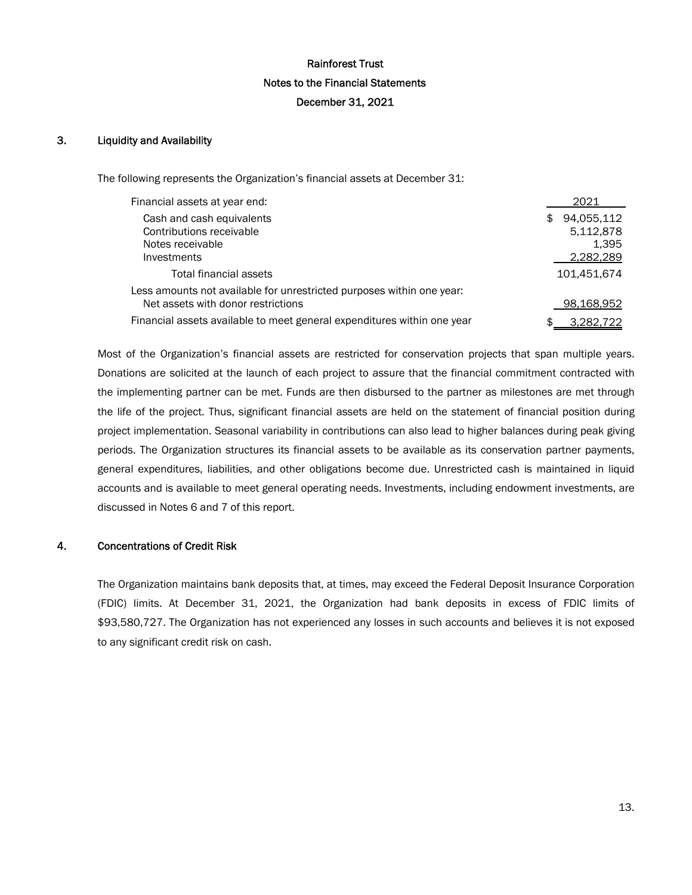#### 3. Liquidity and Availability

The following represents the Organization's financial assets at December 31:

| Financial assets at year end:                                           | 2021                         |
|-------------------------------------------------------------------------|------------------------------|
| Cash and cash equivalents<br>Contributions receivable                   | 94,055,112<br>S<br>5,112,878 |
| Notes receivable                                                        | 1,395                        |
| Investments                                                             | 2,282,289                    |
| Total financial assets                                                  | 101.451.674                  |
| Less amounts not available for unrestricted purposes within one year:   |                              |
| Net assets with donor restrictions                                      | 98,168,952                   |
| Financial assets available to meet general expenditures within one year | 3,282,722                    |

Most of the Organization's financial assets are restricted for conservation projects that span multiple years. Donations are solicited at the launch of each project to assure that the financial commitment contracted with the implementing partner can be met. Funds are then disbursed to the partner as milestones are met through the life of the project. Thus, significant financial assets are held on the statement of financial position during project implementation. Seasonal variability in contributions can also lead to higher balances during peak giving periods. The Organization structures its financial assets to be available as its conservation partner payments, general expenditures, liabilities, and other obligations become due. Unrestricted cash is maintained in liquid accounts and is available to meet general operating needs. Investments, including endowment investments, are discussed in Notes 6 and 7 of this report.

#### 4. Concentrations of Credit Risk

The Organization maintains bank deposits that, at times, may exceed the Federal Deposit Insurance Corporation (FDIC) limits. At December 31, 2021, the Organization had bank deposits in excess of FDIC limits of \$93,580,727. The Organization has not experienced any losses in such accounts and believes it is not exposed to any significant credit risk on cash.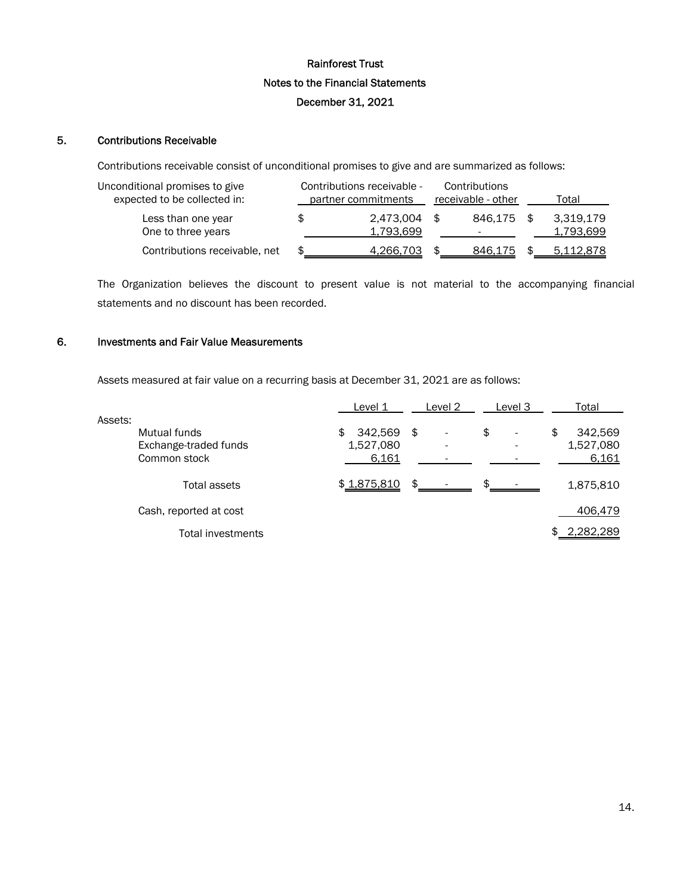## 5. Contributions Receivable

Contributions receivable consist of unconditional promises to give and are summarized as follows:

| Unconditional promises to give<br>expected to be collected in: | Contributions receivable -<br>partner commitments | Contributions<br>receivable - other | Total                  |
|----------------------------------------------------------------|---------------------------------------------------|-------------------------------------|------------------------|
| Less than one year<br>One to three years                       | 2,473,004<br>1,793,699                            | 846.175                             | 3,319,179<br>1,793,699 |
| Contributions receivable, net                                  | 4,266,703                                         | 846,175                             | 5,112,878              |

The Organization believes the discount to present value is not material to the accompanying financial statements and no discount has been recorded.

#### 6. Investments and Fair Value Measurements

Assets measured at fair value on a recurring basis at December 31, 2021 are as follows:

|         |                        | Level 1        | Level 2 | Level 3 | Total         |
|---------|------------------------|----------------|---------|---------|---------------|
| Assets: |                        |                |         |         |               |
|         | Mutual funds           | 342,569<br>\$. | - \$    | \$<br>٠ | 342,569<br>\$ |
|         | Exchange-traded funds  | 1,527,080      |         |         | 1,527,080     |
|         | Common stock           | 6,161          |         |         | 6,161         |
|         | Total assets           | \$1,875,810    |         |         | 1,875,810     |
|         | Cash, reported at cost |                |         |         | 406,479       |
|         | Total investments      |                |         |         | 2,282,289     |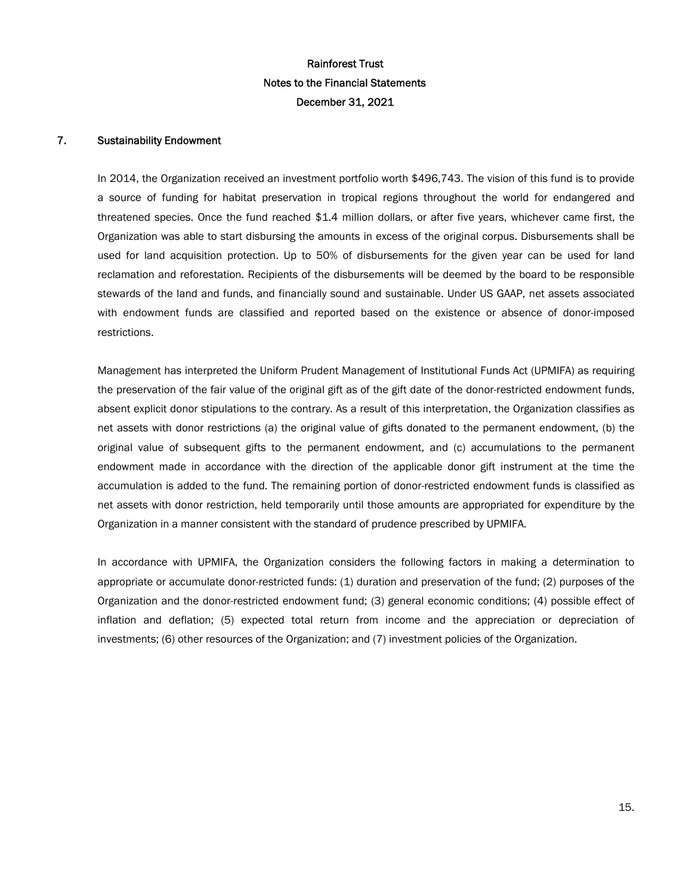#### 7. Sustainability Endowment

In 2014, the Organization received an investment portfolio worth \$496,743. The vision of this fund is to provide a source of funding for habitat preservation in tropical regions throughout the world for endangered and threatened species. Once the fund reached \$1.4 million dollars, or after five years, whichever came first, the Organization was able to start disbursing the amounts in excess of the original corpus. Disbursements shall be used for land acquisition protection. Up to 50% of disbursements for the given year can be used for land reclamation and reforestation. Recipients of the disbursements will be deemed by the board to be responsible stewards of the land and funds, and financially sound and sustainable. Under US GAAP, net assets associated with endowment funds are classified and reported based on the existence or absence of donor-imposed restrictions.

Management has interpreted the Uniform Prudent Management of Institutional Funds Act (UPMIFA) as requiring the preservation of the fair value of the original gift as of the gift date of the donor-restricted endowment funds, absent explicit donor stipulations to the contrary. As a result of this interpretation, the Organization classifies as net assets with donor restrictions (a) the original value of gifts donated to the permanent endowment, (b) the original value of subsequent gifts to the permanent endowment, and (c) accumulations to the permanent endowment made in accordance with the direction of the applicable donor gift instrument at the time the accumulation is added to the fund. The remaining portion of donor-restricted endowment funds is classified as net assets with donor restriction, held temporarily until those amounts are appropriated for expenditure by the Organization in a manner consistent with the standard of prudence prescribed by UPMIFA.

In accordance with UPMIFA, the Organization considers the following factors in making a determination to appropriate or accumulate donor-restricted funds: (1) duration and preservation of the fund; (2) purposes of the Organization and the donor-restricted endowment fund; (3) general economic conditions; (4) possible effect of inflation and deflation; (5) expected total return from income and the appreciation or depreciation of investments; (6) other resources of the Organization; and (7) investment policies of the Organization.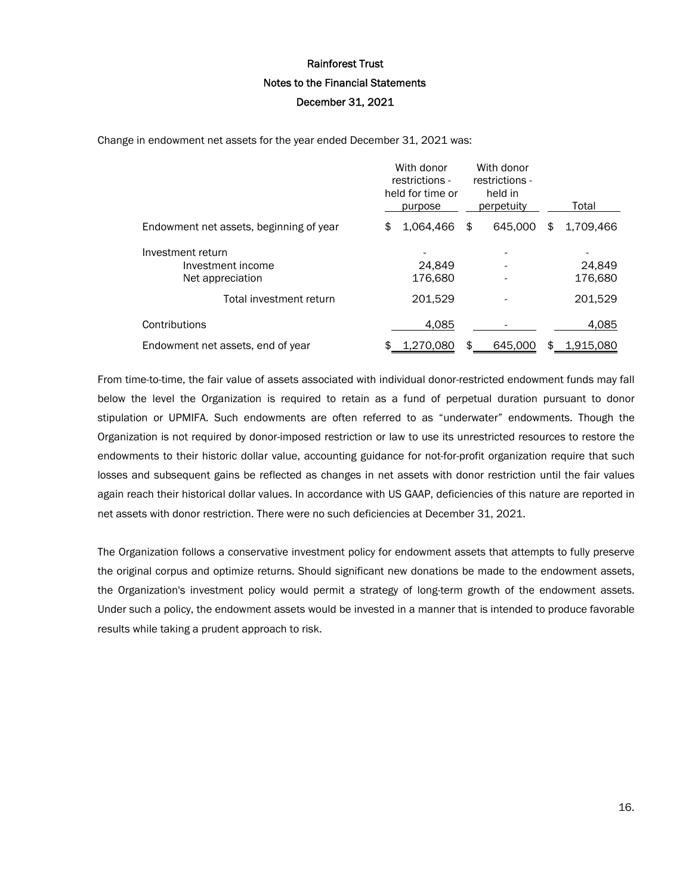# Rainforest Trust Notes to the Financial Statements

### December 31, 2021

Change in endowment net assets for the year ended December 31, 2021 was:

|                                                            |    | With donor<br>restrictions -<br>held for time or<br>purpose | With donor<br>restrictions -<br>held in<br>perpetuity |     | Total             |
|------------------------------------------------------------|----|-------------------------------------------------------------|-------------------------------------------------------|-----|-------------------|
| Endowment net assets, beginning of year                    | \$ | 1,064,466                                                   | \$<br>645,000                                         | \$  | 1.709.466         |
| Investment return<br>Investment income<br>Net appreciation |    | 24.849<br>176,680                                           |                                                       |     | 24,849<br>176,680 |
| Total investment return                                    |    | 201,529                                                     |                                                       |     | 201.529           |
| Contributions                                              |    | 4.085                                                       |                                                       |     | 4,085             |
| Endowment net assets, end of year                          | £  | 1,270,080                                                   | 645,000                                               | \$. | 1.915.080         |

From time-to-time, the fair value of assets associated with individual donor-restricted endowment funds may fall below the level the Organization is required to retain as a fund of perpetual duration pursuant to donor stipulation or UPMIFA. Such endowments are often referred to as "underwater" endowments. Though the Organization is not required by donor-imposed restriction or law to use its unrestricted resources to restore the endowments to their historic dollar value, accounting guidance for not-for-profit organization require that such losses and subsequent gains be reflected as changes in net assets with donor restriction until the fair values again reach their historical dollar values. In accordance with US GAAP, deficiencies of this nature are reported in net assets with donor restriction. There were no such deficiencies at December 31, 2021.

The Organization follows a conservative investment policy for endowment assets that attempts to fully preserve the original corpus and optimize returns. Should significant new donations be made to the endowment assets, the Organization's investment policy would permit a strategy of long-term growth of the endowment assets. Under such a policy, the endowment assets would be invested in a manner that is intended to produce favorable results while taking a prudent approach to risk.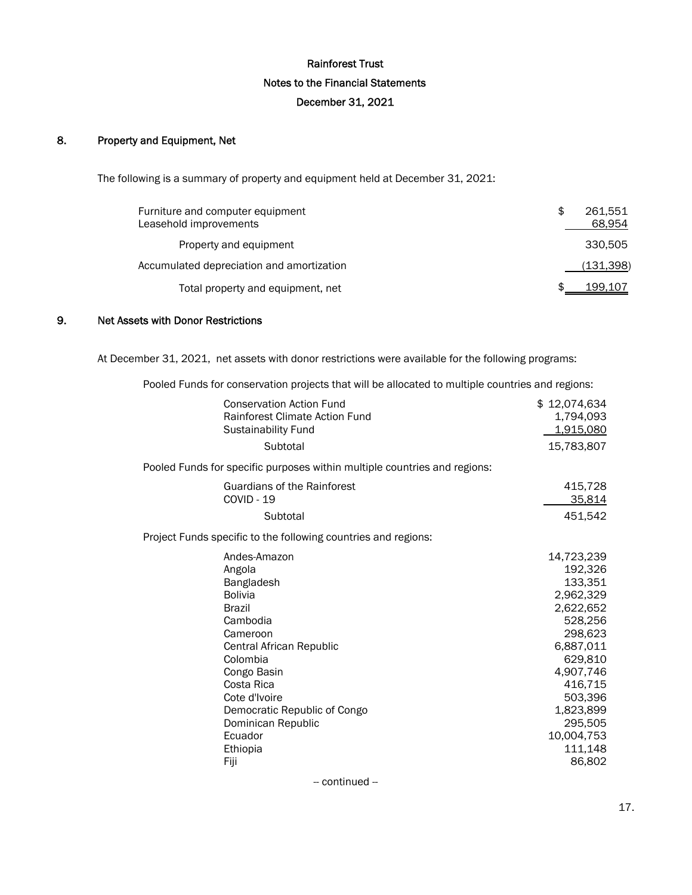## 8. Property and Equipment, Net

The following is a summary of property and equipment held at December 31, 2021:

| Furniture and computer equipment<br>Leasehold improvements | \$<br>261.551<br>68,954 |
|------------------------------------------------------------|-------------------------|
| Property and equipment                                     | 330.505                 |
| Accumulated depreciation and amortization                  | (131, 398)              |
| Total property and equipment, net                          | 199,107                 |

## 9. Net Assets with Donor Restrictions

At December 31, 2021, net assets with donor restrictions were available for the following programs:

Pooled Funds for conservation projects that will be allocated to multiple countries and regions:

|                                            | <b>Conservation Action Fund</b><br>Rainforest Climate Action Fund<br><b>Sustainability Fund</b><br>Subtotal                                                                                                           | \$12,074,634<br>1,794,093<br>1,915,080<br>15,783,807                                                                                                                                                   |
|--------------------------------------------|-----------------------------------------------------------------------------------------------------------------------------------------------------------------------------------------------------------------------|--------------------------------------------------------------------------------------------------------------------------------------------------------------------------------------------------------|
|                                            | Pooled Funds for specific purposes within multiple countries and regions:                                                                                                                                             |                                                                                                                                                                                                        |
|                                            | <b>Guardians of the Rainforest</b><br><b>COVID - 19</b><br>Subtotal                                                                                                                                                   | 415,728<br>35,814<br>451,542                                                                                                                                                                           |
|                                            | Project Funds specific to the following countries and regions:                                                                                                                                                        |                                                                                                                                                                                                        |
| Angola<br><b>Bolivia</b><br>Brazil<br>Fiji | Andes-Amazon<br>Bangladesh<br>Cambodia<br>Cameroon<br>Central African Republic<br>Colombia<br>Congo Basin<br>Costa Rica<br>Cote d'Ivoire<br>Democratic Republic of Congo<br>Dominican Republic<br>Ecuador<br>Ethiopia | 14,723,239<br>192,326<br>133,351<br>2,962,329<br>2,622,652<br>528,256<br>298,623<br>6,887,011<br>629,810<br>4,907,746<br>416,715<br>503,396<br>1,823,899<br>295,505<br>10,004,753<br>111,148<br>86,802 |

-- continued --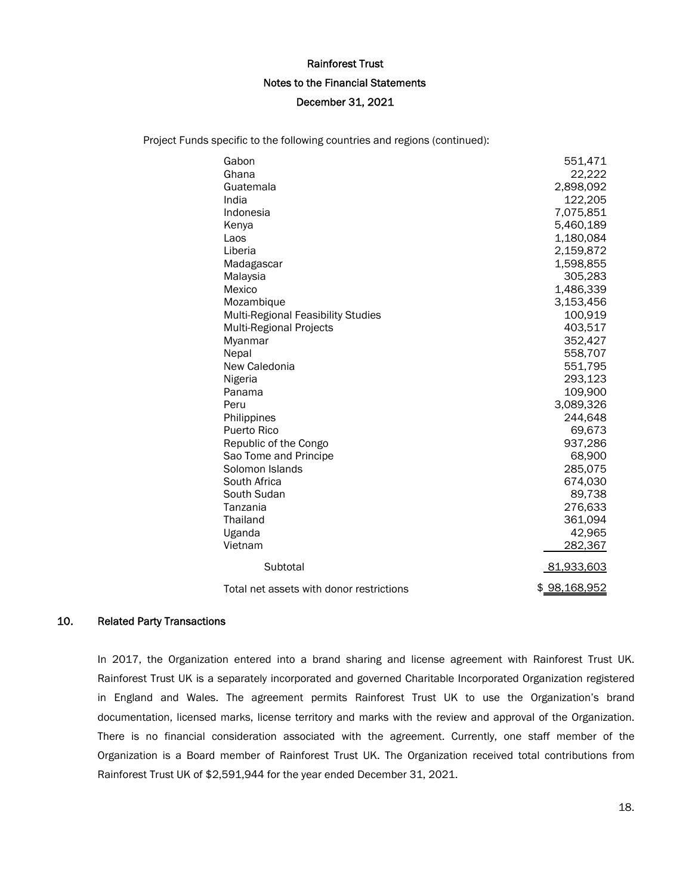Project Funds specific to the following countries and regions (continued):

| Gabon<br>Ghana<br>Guatemala<br>India<br>Indonesia<br>Kenya<br>Laos<br>Liberia<br>Madagascar<br>Malaysia<br>Mexico<br>Mozambique<br><b>Multi-Regional Feasibility Studies</b><br>Multi-Regional Projects<br>Myanmar<br>Nepal<br>New Caledonia<br>Nigeria<br>Panama<br>Peru | 551,471<br>22,222<br>2,898,092<br>122,205<br>7,075,851<br>5,460,189<br>1,180,084<br>2,159,872<br>1,598,855<br>305,283<br>1,486,339<br>3,153,456<br>100,919<br>403,517<br>352,427<br>558,707<br>551,795<br>293,123<br>109,900<br>3,089,326 |
|---------------------------------------------------------------------------------------------------------------------------------------------------------------------------------------------------------------------------------------------------------------------------|-------------------------------------------------------------------------------------------------------------------------------------------------------------------------------------------------------------------------------------------|
| Philippines                                                                                                                                                                                                                                                               | 244,648                                                                                                                                                                                                                                   |
| <b>Puerto Rico</b>                                                                                                                                                                                                                                                        | 69,673                                                                                                                                                                                                                                    |
| Republic of the Congo                                                                                                                                                                                                                                                     | 937,286                                                                                                                                                                                                                                   |
| Sao Tome and Principe                                                                                                                                                                                                                                                     | 68,900                                                                                                                                                                                                                                    |
| Solomon Islands<br>South Africa                                                                                                                                                                                                                                           | 285,075<br>674,030                                                                                                                                                                                                                        |
| South Sudan                                                                                                                                                                                                                                                               | 89,738                                                                                                                                                                                                                                    |
| Tanzania                                                                                                                                                                                                                                                                  | 276,633                                                                                                                                                                                                                                   |
| Thailand                                                                                                                                                                                                                                                                  | 361,094                                                                                                                                                                                                                                   |
| Uganda                                                                                                                                                                                                                                                                    | 42,965                                                                                                                                                                                                                                    |
| Vietnam                                                                                                                                                                                                                                                                   | <u>282,367</u>                                                                                                                                                                                                                            |
| Subtotal                                                                                                                                                                                                                                                                  | 81,933,603                                                                                                                                                                                                                                |
| Total net assets with donor restrictions                                                                                                                                                                                                                                  | \$ <u>_98,168,952</u>                                                                                                                                                                                                                     |

#### 10. Related Party Transactions

In 2017, the Organization entered into a brand sharing and license agreement with Rainforest Trust UK. Rainforest Trust UK is a separately incorporated and governed Charitable Incorporated Organization registered in England and Wales. The agreement permits Rainforest Trust UK to use the Organization's brand documentation, licensed marks, license territory and marks with the review and approval of the Organization. There is no financial consideration associated with the agreement. Currently, one staff member of the Organization is a Board member of Rainforest Trust UK. The Organization received total contributions from Rainforest Trust UK of \$2,591,944 for the year ended December 31, 2021.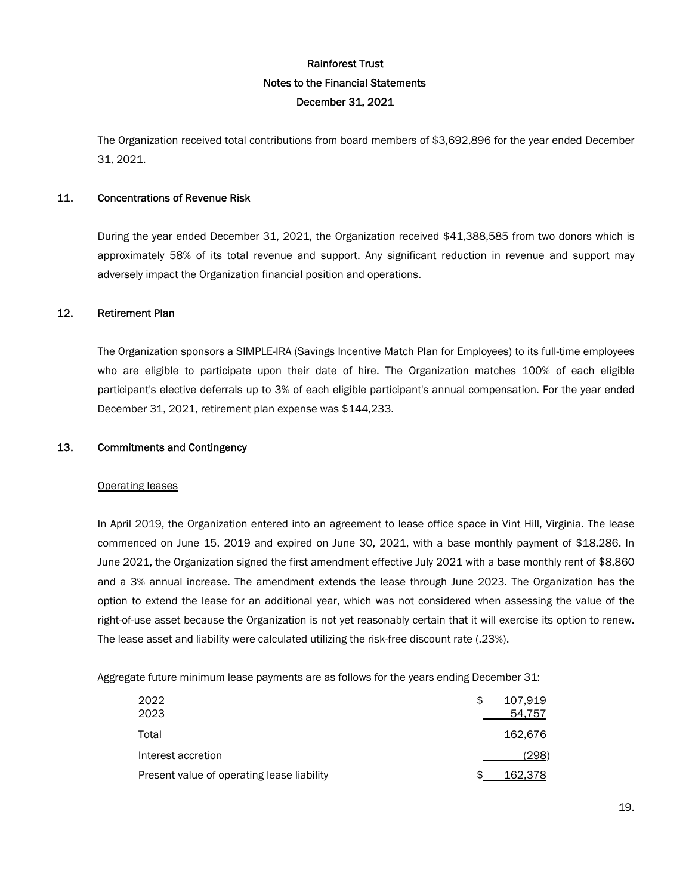The Organization received total contributions from board members of \$3,692,896 for the year ended December 31, 2021.

### 11. Concentrations of Revenue Risk

During the year ended December 31, 2021, the Organization received \$41,388,585 from two donors which is approximately 58% of its total revenue and support. Any significant reduction in revenue and support may adversely impact the Organization financial position and operations.

#### 12. Retirement Plan

The Organization sponsors a SIMPLE-IRA (Savings Incentive Match Plan for Employees) to its full-time employees who are eligible to participate upon their date of hire. The Organization matches 100% of each eligible participant's elective deferrals up to 3% of each eligible participant's annual compensation. For the year ended December 31, 2021, retirement plan expense was \$144,233.

#### 13. Commitments and Contingency

#### Operating leases

In April 2019, the Organization entered into an agreement to lease office space in Vint Hill, Virginia. The lease commenced on June 15, 2019 and expired on June 30, 2021, with a base monthly payment of \$18,286. In June 2021, the Organization signed the first amendment effective July 2021 with a base monthly rent of \$8,860 and a 3% annual increase. The amendment extends the lease through June 2023. The Organization has the option to extend the lease for an additional year, which was not considered when assessing the value of the right-of-use asset because the Organization is not yet reasonably certain that it will exercise its option to renew. The lease asset and liability were calculated utilizing the risk-free discount rate (.23%).

Aggregate future minimum lease payments are as follows for the years ending December 31:

| 2022<br>2023                               | S | 107.919<br>54,757 |
|--------------------------------------------|---|-------------------|
| Total                                      |   | 162,676           |
| Interest accretion                         |   | (298)             |
| Present value of operating lease liability |   | 162,378           |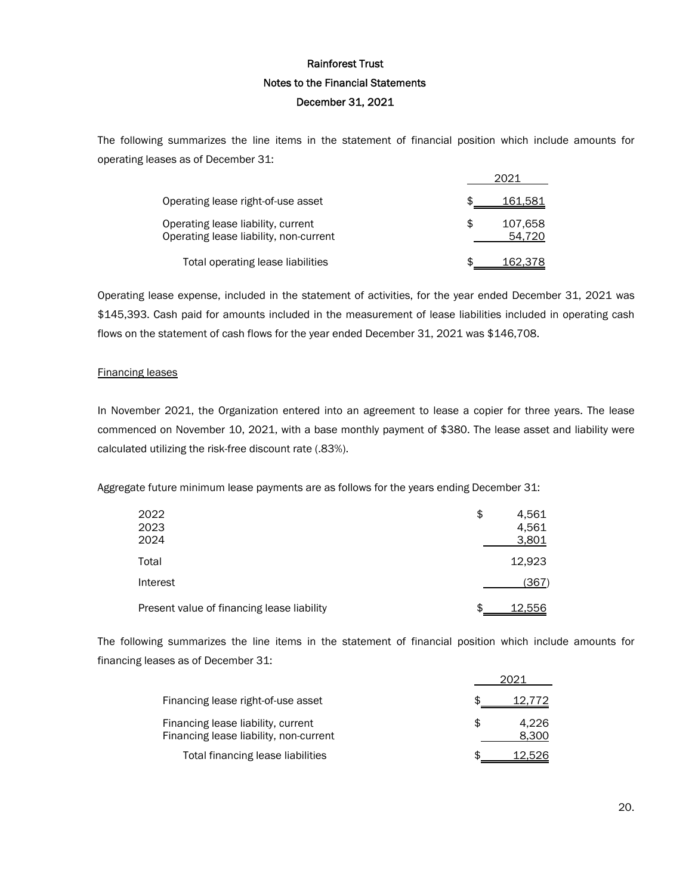The following summarizes the line items in the statement of financial position which include amounts for operating leases as of December 31:

|                                                                              |     | 2021              |
|------------------------------------------------------------------------------|-----|-------------------|
| Operating lease right-of-use asset                                           |     | <u>161,581</u>    |
| Operating lease liability, current<br>Operating lease liability, non-current | \$. | 107,658<br>54.720 |
| Total operating lease liabilities                                            |     | 162,378           |

Operating lease expense, included in the statement of activities, for the year ended December 31, 2021 was \$145,393. Cash paid for amounts included in the measurement of lease liabilities included in operating cash flows on the statement of cash flows for the year ended December 31, 2021 was \$146,708.

#### Financing leases

In November 2021, the Organization entered into an agreement to lease a copier for three years. The lease commenced on November 10, 2021, with a base monthly payment of \$380. The lease asset and liability were calculated utilizing the risk-free discount rate (.83%).

Aggregate future minimum lease payments are as follows for the years ending December 31:

| 2022<br>2023<br>2024                       | \$<br>4,561<br>4,561<br>3,801 |
|--------------------------------------------|-------------------------------|
| Total                                      | 12,923                        |
| Interest                                   | (367)                         |
| Present value of financing lease liability | \$<br>12,556                  |

The following summarizes the line items in the statement of financial position which include amounts for financing leases as of December 31:

| Financing lease right-of-use asset                                           |    | 12,772         |
|------------------------------------------------------------------------------|----|----------------|
| Financing lease liability, current<br>Financing lease liability, non-current | £. | 4.226<br>8,300 |
| Total financing lease liabilities                                            |    | 2.526          |